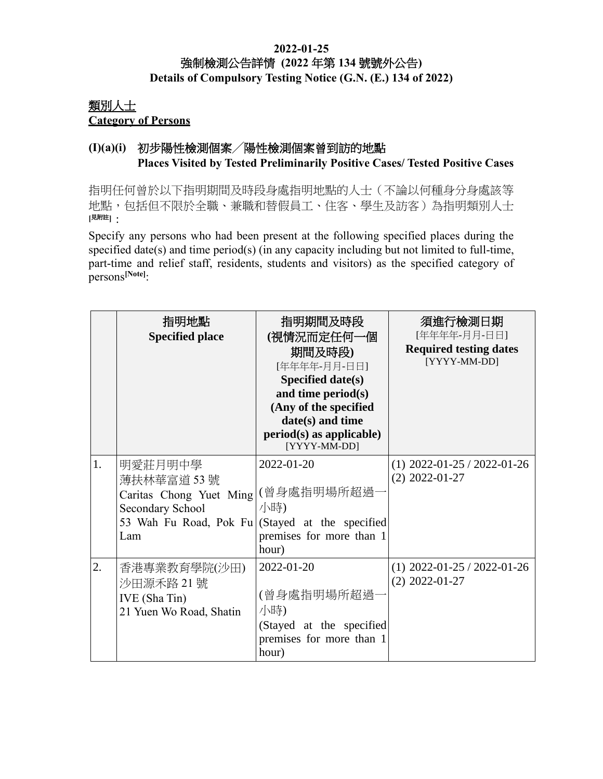#### **2022-01-25** 強制檢測公告詳情 **(2022** 年第 **134** 號號外公告**) Details of Compulsory Testing Notice (G.N. (E.) 134 of 2022)**

## 類別人士 **Category of Persons**

## **(I)(a)(i)** 初步陽性檢測個案╱陽性檢測個案曾到訪的地點 **Places Visited by Tested Preliminarily Positive Cases/ Tested Positive Cases**

指明任何曾於以下指明期間及時段身處指明地點的人士(不論以何種身分身處該等 地點,包括但不限於全職、兼職和替假員工、住客、學生及訪客)為指明類別人士 **[**見附註**]**:

Specify any persons who had been present at the following specified places during the specified date(s) and time period(s) (in any capacity including but not limited to full-time, part-time and relief staff, residents, students and visitors) as the specified category of persons**[Note]**:

|    | 指明地點<br><b>Specified place</b>                                                                                                 | 指明期間及時段<br>(視情況而定任何一個<br>期間及時段)<br>[年年年年-月月-日日]<br>Specified date(s)<br>and time period $(s)$<br>(Any of the specified<br>date(s) and time<br>$period(s)$ as applicable)<br>[YYYY-MM-DD] | 須進行檢測日期<br>[年年年年-月月-日日]<br><b>Required testing dates</b><br>[YYYY-MM-DD] |
|----|--------------------------------------------------------------------------------------------------------------------------------|------------------------------------------------------------------------------------------------------------------------------------------------------------------------------------------|--------------------------------------------------------------------------|
| 1. | 明愛莊月明中學<br>薄扶林華富道 53號<br>Caritas Chong Yuet Ming<br>Secondary School<br>53 Wah Fu Road, Pok Fu (Stayed at the specified<br>Lam | $2022 - 01 - 20$<br>(曾身處指明場所超過·<br>小時)<br>premises for more than 1<br>hour)                                                                                                              | $(1)$ 2022-01-25 / 2022-01-26<br>$(2)$ 2022-01-27                        |
| 2. | 香港專業教育學院(沙田)<br>沙田源禾路 21號<br>IVE (Sha Tin)<br>21 Yuen Wo Road, Shatin                                                          | 2022-01-20<br>(曾身處指明場所超過<br>小時)<br>(Stayed at the specified<br>premises for more than 1<br>hour)                                                                                         | $(1)$ 2022-01-25 / 2022-01-26<br>$(2)$ 2022-01-27                        |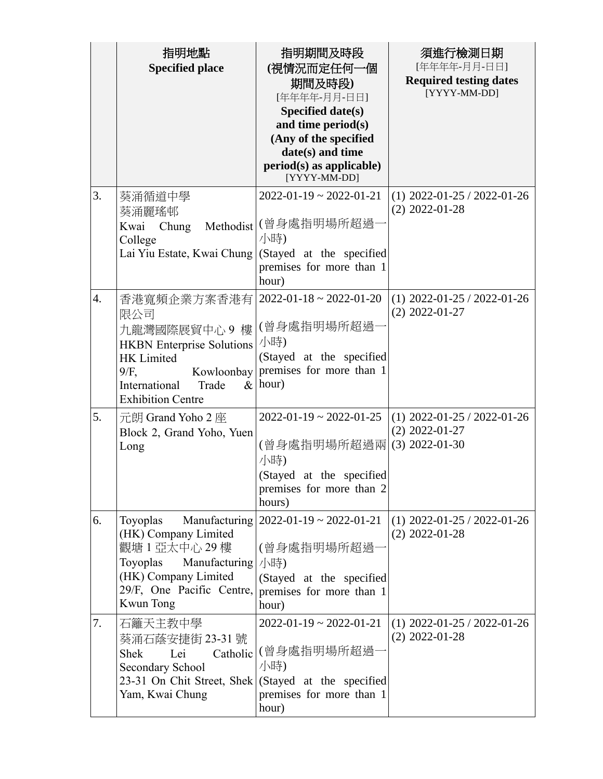|    | 指明地點<br><b>Specified place</b>                                                                                                                                                             | 指明期間及時段<br>(視情況而定任何一個<br>期間及時段)<br>[年年年年-月月-日日]<br>Specified date(s)<br>and time period(s)<br>(Any of the specified<br>date(s) and time<br>$period(s)$ as applicable)<br>[YYYY-MM-DD] | 須進行檢測日期<br>[年年年年-月月-日日]<br><b>Required testing dates</b><br>[YYYY-MM-DD] |
|----|--------------------------------------------------------------------------------------------------------------------------------------------------------------------------------------------|---------------------------------------------------------------------------------------------------------------------------------------------------------------------------------------|--------------------------------------------------------------------------|
| 3. | 葵涌循道中學<br>葵涌麗瑤邨<br>Kwai<br>Chung<br>College<br>Lai Yiu Estate, Kwai Chung   (Stayed at the specified                                                                                       | $2022 - 01 - 19 \approx 2022 - 01 - 21$<br>Methodist (曾身處指明場所超過<br>小時)<br>premises for more than 1<br>hour)                                                                           | $(1)$ 2022-01-25 / 2022-01-26<br>$(2)$ 2022-01-28                        |
| 4. | 香港寬頻企業方案香港有   2022-01-18~2022-01-20<br>限公司<br>九龍灣國際展貿中心9樓<br><b>HKBN</b> Enterprise Solutions<br>HK Limited<br>$9/F$ ,<br>Kowloonbay<br>International<br>Trade<br><b>Exhibition Centre</b> | (曾身處指明場所超過-<br>小時)<br>(Stayed at the specified<br>premises for more than 1<br>$\&$ hour)                                                                                              | $(1)$ 2022-01-25 / 2022-01-26<br>$(2)$ 2022-01-27                        |
| 5. | 元朗 Grand Yoho 2 座<br>Block 2, Grand Yoho, Yuen<br>Long                                                                                                                                     | $2022 - 01 - 19 \approx 2022 - 01 - 25$<br>(曾身處指明場所超過兩<br>小時)<br>(Stayed at the specified<br>premises for more than 2<br>hours)                                                       | $(1)$ 2022-01-25 / 2022-01-26<br>$(2)$ 2022-01-27<br>$(3)$ 2022-01-30    |
| 6. | Toyoplas<br>(HK) Company Limited<br>觀塘1亞太中心 29樓<br>Manufacturing $ \sqrt{s}$<br>Toyoplas<br>(HK) Company Limited<br>29/F, One Pacific Centre,<br>Kwun Tong                                 | Manufacturing $\left[2022-01-19 \sim 2022-01-21\right]$<br>(曾身處指明場所超過·<br>(Stayed at the specified<br>premises for more than 1<br>hour)                                               | $(1)$ 2022-01-25 / 2022-01-26<br>$(2)$ 2022-01-28                        |
| 7. | 石籬天主教中學<br>葵涌石蔭安捷街 23-31 號<br><b>Shek</b><br>Lei<br>Catholic<br>Secondary School<br>23-31 On Chit Street, Shek   (Stayed at the specified<br>Yam, Kwai Chung                               | $2022 - 01 - 19 \approx 2022 - 01 - 21$<br>(曾身處指明場所超過·<br>小時)<br>premises for more than 1<br>hour)                                                                                    | $(1)$ 2022-01-25 / 2022-01-26<br>$(2)$ 2022-01-28                        |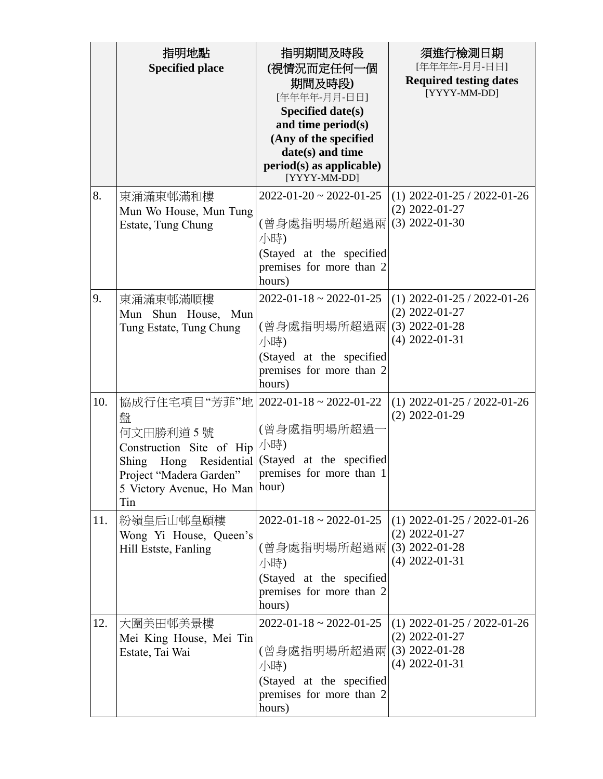|     | 指明地點<br><b>Specified place</b>                                                                                                                          | 指明期間及時段<br>(視情況而定任何一個<br>期間及時段)<br>[年年年年-月月-日日]<br><b>Specified date(s)</b><br>and time period(s)<br>(Any of the specified<br>date(s) and time<br>$period(s)$ as applicable)<br>[YYYY-MM-DD] | 須進行檢測日期<br>[年年年年-月月-日日]<br><b>Required testing dates</b><br>[YYYY-MM-DD]                  |
|-----|---------------------------------------------------------------------------------------------------------------------------------------------------------|----------------------------------------------------------------------------------------------------------------------------------------------------------------------------------------------|-------------------------------------------------------------------------------------------|
| 8.  | 東涌滿東邨滿和樓<br>Mun Wo House, Mun Tung<br>Estate, Tung Chung                                                                                                | $2022 - 01 - 20 \approx 2022 - 01 - 25$<br>(曾身處指明場所超過兩 <br>小時)<br>(Stayed at the specified<br>premises for more than 2<br>hours)                                                             | $(1)$ 2022-01-25 / 2022-01-26<br>$(2)$ 2022-01-27<br>$(3)$ 2022-01-30                     |
| 9.  | 東涌滿東邨滿順樓<br>Mun Shun House,<br>Mun<br>Tung Estate, Tung Chung                                                                                           | $2022 - 01 - 18 \approx 2022 - 01 - 25$<br>(曾身處指明場所超過兩<br>小時)<br>(Stayed at the specified<br>premises for more than 2<br>hours)                                                              | $(1)$ 2022-01-25 / 2022-01-26<br>$(2)$ 2022-01-27<br>$(3)$ 2022-01-28<br>$(4)$ 2022-01-31 |
| 10. | 協成行住宅項目"芳菲"地<br>盤<br>何文田勝利道5號<br>Construction Site of Hip<br>Shing Hong Residential<br>Project "Madera Garden"<br>5 Victory Avenue, Ho Man hour)<br>Tin | $2022 - 01 - 18 \approx 2022 - 01 - 22$<br>(曾身處指明場所超過<br>小時)<br>(Stayed at the specified<br>premises for more than 1                                                                         | $(1)$ 2022-01-25 / 2022-01-26<br>$(2)$ 2022-01-29                                         |
| 11. | 粉嶺皇后山邨皇頤樓<br>Wong Yi House, Queen's<br>Hill Estste, Fanling                                                                                             | $2022 - 01 - 18 \approx 2022 - 01 - 25$<br>(曾身處指明場所超過兩)<br>小時)<br>(Stayed at the specified<br>premises for more than 2<br>hours)                                                             | $(1)$ 2022-01-25 / 2022-01-26<br>$(2)$ 2022-01-27<br>$(3)$ 2022-01-28<br>$(4)$ 2022-01-31 |
| 12. | 大圍美田邨美景樓<br>Mei King House, Mei Tin<br>Estate, Tai Wai                                                                                                  | $2022 - 01 - 18 \approx 2022 - 01 - 25$<br>(曾身處指明場所超過兩 <br>小時)<br>(Stayed at the specified<br>premises for more than 2<br>hours)                                                             | $(1)$ 2022-01-25 / 2022-01-26<br>$(2)$ 2022-01-27<br>$(3)$ 2022-01-28<br>$(4)$ 2022-01-31 |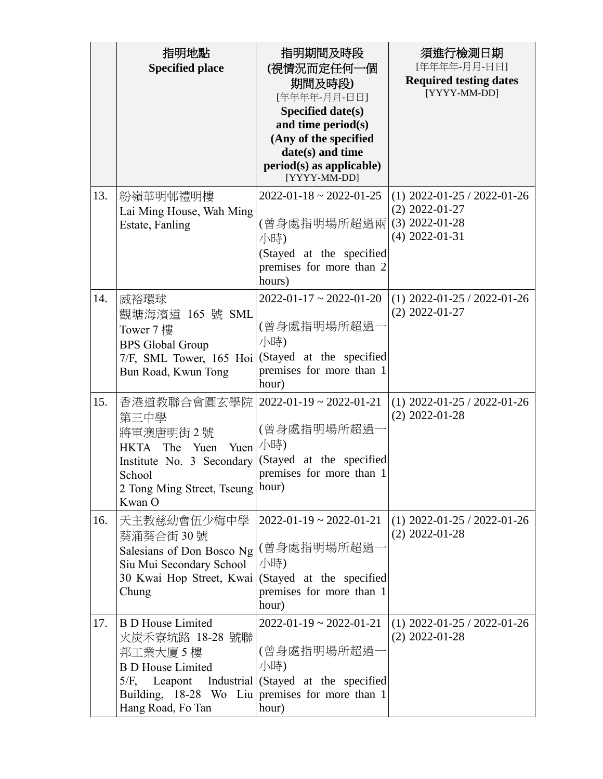|     | 指明地點<br><b>Specified place</b>                                                                                                                                                     | 指明期間及時段<br>(視情況而定任何一個<br>期間及時段)<br>[年年年年-月月-日日]<br>Specified date(s)<br>and time period(s)<br>(Any of the specified<br>date(s) and time<br>$period(s)$ as applicable)<br>[YYYY-MM-DD] | 須進行檢測日期<br>[年年年年-月月-日日]<br><b>Required testing dates</b><br>[YYYY-MM-DD]                  |
|-----|------------------------------------------------------------------------------------------------------------------------------------------------------------------------------------|---------------------------------------------------------------------------------------------------------------------------------------------------------------------------------------|-------------------------------------------------------------------------------------------|
| 13. | 粉嶺華明邨禮明樓<br>Lai Ming House, Wah Ming<br>Estate, Fanling                                                                                                                            | $2022 - 01 - 18 \approx 2022 - 01 - 25$<br>(曾身處指明場所超過兩 <br>小時)<br>(Stayed at the specified<br>premises for more than 2<br>hours)                                                      | $(1)$ 2022-01-25 / 2022-01-26<br>$(2)$ 2022-01-27<br>$(3)$ 2022-01-28<br>$(4)$ 2022-01-31 |
| 14. | 威裕環球<br>觀塘海濱道 165 號 SML<br>Tower 7 樓<br><b>BPS</b> Global Group<br>7/F, SML Tower, 165 Hoi<br>Bun Road, Kwun Tong                                                                  | $2022 - 01 - 17 \approx 2022 - 01 - 20$<br>(曾身處指明場所超過-<br>小時)<br>(Stayed at the specified<br>premises for more than 1<br>hour)                                                        | $(1)$ 2022-01-25 / 2022-01-26<br>$(2)$ 2022-01-27                                         |
| 15. | 香港道教聯合會圓玄學院<br>第三中學<br>將軍澳唐明街2號<br>HKTA The Yuen<br>Yuen<br>Institute No. 3 Secondary<br>School<br>2 Tong Ming Street, Tseung   hour)<br>Kwan O                                    | $2022 - 01 - 19 \approx 2022 - 01 - 21$<br>(曾身處指明場所超過<br>小時)<br>(Stayed at the specified<br>premises for more than 1                                                                  | $(1)$ 2022-01-25 / 2022-01-26<br>$(2)$ 2022-01-28                                         |
| 16. | 天主教慈幼會伍少梅中學<br>葵涌葵合街 30號<br>Salesians of Don Bosco Ng<br>Siu Mui Secondary School<br>30 Kwai Hop Street, Kwai<br>Chung                                                             | $2022 - 01 - 19 \approx 2022 - 01 - 21$<br>(曾身處指明場所超過-<br>小時)<br>(Stayed at the specified<br>premises for more than 1<br>hour)                                                        | $(1)$ 2022-01-25 / 2022-01-26<br>$(2)$ 2022-01-28                                         |
| 17. | <b>B</b> D House Limited<br>火炭禾寮坑路 18-28 號聯<br>邦工業大廈 5 樓<br><b>B D House Limited</b><br>$5/F$ ,<br>Leapont<br>Building, 18-28 Wo Liu premises for more than 1<br>Hang Road, Fo Tan | $2022 - 01 - 19 \approx 2022 - 01 - 21$<br>(曾身處指明場所超過·<br>小時)<br>Industrial (Stayed at the specified<br>hour)                                                                         | $(1)$ 2022-01-25 / 2022-01-26<br>$(2)$ 2022-01-28                                         |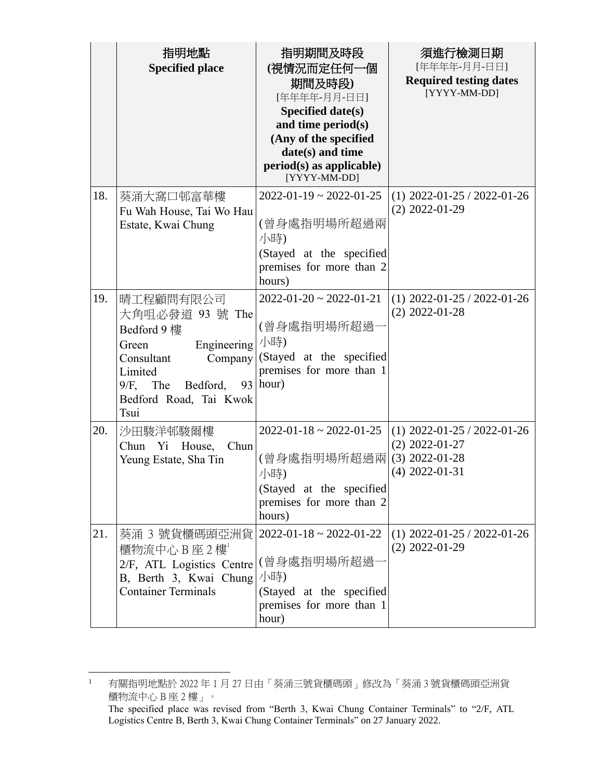|     | 指明地點                                                                                                                                                                   | 指明期間及時段                                                                                                                          | 須進行檢測日期                                                                                   |
|-----|------------------------------------------------------------------------------------------------------------------------------------------------------------------------|----------------------------------------------------------------------------------------------------------------------------------|-------------------------------------------------------------------------------------------|
|     | <b>Specified place</b>                                                                                                                                                 | (視情況而定任何一個<br>期間及時段)<br>[年年年年-月月-日日]<br><b>Specified date(s)</b><br>and time period(s)<br>(Any of the specified                  | [年年年年-月月-日日]<br><b>Required testing dates</b><br>[YYYY-MM-DD]                             |
|     |                                                                                                                                                                        | date(s) and time<br>$period(s)$ as applicable)<br>[YYYY-MM-DD]                                                                   |                                                                                           |
| 18. | 葵涌大窩口邨富華樓<br>Fu Wah House, Tai Wo Hau<br>Estate, Kwai Chung                                                                                                            | $2022 - 01 - 19 \approx 2022 - 01 - 25$<br>(曾身處指明場所超過兩<br>小時)<br>(Stayed at the specified<br>premises for more than 2<br>hours)  | $(1)$ 2022-01-25 / 2022-01-26<br>$(2)$ 2022-01-29                                         |
| 19. | 晴工程顧問有限公司<br>大角咀必發道 93 號 The<br>Bedford 9樓<br>Engineering<br>Green<br>Company<br>Consultant<br>Limited<br>The<br>$9/F$ ,<br>Bedford,<br>Bedford Road, Tai Kwok<br>Tsui | $2022 - 01 - 20 \sim 2022 - 01 - 21$<br>(曾身處指明場所超過-<br>小時)<br>(Stayed at the specified<br>premises for more than 1<br>$93$ hour) | $(1)$ 2022-01-25 / 2022-01-26<br>$(2)$ 2022-01-28                                         |
| 20. | 沙田駿洋邨駿爾樓<br>Chun<br>Chun Yi House,<br>Yeung Estate, Sha Tin                                                                                                            | $2022 - 01 - 18 \approx 2022 - 01 - 25$<br>(曾身處指明場所超過兩<br>小時)<br>(Stayed at the specified<br>premises for more than 2<br>hours)  | $(1)$ 2022-01-25 / 2022-01-26<br>$(2)$ 2022-01-27<br>$(3)$ 2022-01-28<br>$(4)$ 2022-01-31 |
| 21. | 葵涌 3 號貨櫃碼頭亞洲貨 <br>櫃物流中心B座2樓<br>2/F, ATL Logistics Centre<br>B, Berth 3, Kwai Chung<br><b>Container Terminals</b>                                                       | $2022 - 01 - 18 \approx 2022 - 01 - 22$<br>(曾身處指明場所超過<br>小時)<br>(Stayed at the specified<br>premises for more than 1<br>hour)    | $(1)$ 2022-01-25 / 2022-01-26<br>$(2)$ 2022-01-29                                         |

 $\frac{1}{1}$  有關指明地點於 2022 年 1 月 27 日由「葵涌三號貨櫃碼頭」修改為「葵涌 3 號貨櫃碼頭亞洲貨 櫃物流中心 B 座 2 樓」。

The specified place was revised from "Berth 3, Kwai Chung Container Terminals" to "2/F, ATL Logistics Centre B, Berth 3, Kwai Chung Container Terminals" on 27 January 2022.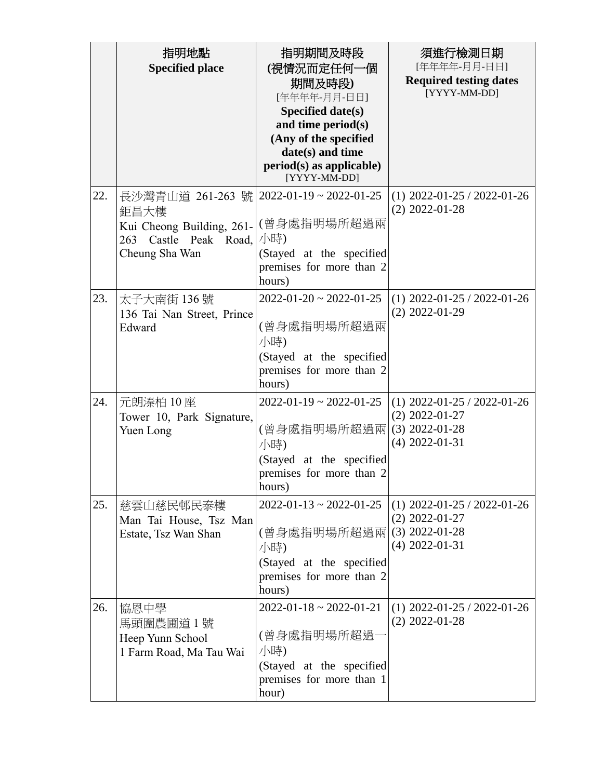|     | 指明地點<br><b>Specified place</b>                                                                                                     | 指明期間及時段<br>(視情況而定任何一個<br>期間及時段)<br>[年年年年-月月-日日]<br>Specified date(s)<br>and time period(s)<br>(Any of the specified<br>date(s) and time<br>$period(s)$ as applicable)<br>[YYYY-MM-DD] | 須進行檢測日期<br>[年年年年-月月-日日]<br><b>Required testing dates</b><br>[YYYY-MM-DD]                  |
|-----|------------------------------------------------------------------------------------------------------------------------------------|---------------------------------------------------------------------------------------------------------------------------------------------------------------------------------------|-------------------------------------------------------------------------------------------|
| 22. | 長沙灣青山道 261-263 號 2022-01-19~2022-01-25<br>鉅昌大樓<br>Kui Cheong Building, 261- (曾身處指明場所超過兩<br>263 Castle Peak Road,<br>Cheung Sha Wan | 小時)<br>(Stayed at the specified<br>premises for more than 2<br>hours)                                                                                                                 | $(1)$ 2022-01-25 / 2022-01-26<br>$(2)$ 2022-01-28                                         |
| 23. | 太子大南街 136號<br>136 Tai Nan Street, Prince<br>Edward                                                                                 | $2022 - 01 - 20 \sim 2022 - 01 - 25$<br>(曾身處指明場所超過兩<br>小時)<br>(Stayed at the specified<br>premises for more than 2<br>hours)                                                          | $(1)$ 2022-01-25 / 2022-01-26<br>$(2)$ 2022-01-29                                         |
| 24. | 元朗溱柏 10座<br>Tower 10, Park Signature,<br>Yuen Long                                                                                 | $2022 - 01 - 19 \approx 2022 - 01 - 25$<br>(曾身處指明場所超過兩 <br>小時)<br>(Stayed at the specified<br>premises for more than 2<br>hours)                                                      | $(1)$ 2022-01-25 / 2022-01-26<br>$(2)$ 2022-01-27<br>$(3)$ 2022-01-28<br>$(4)$ 2022-01-31 |
| 25. | 慈雲山慈民邨民泰樓<br>Man Tai House, Tsz Man<br>Estate, Tsz Wan Shan                                                                        | $2022 - 01 - 13 \approx 2022 - 01 - 25$<br>(曾身處指明場所超過兩<br>小時)<br>(Stayed at the specified<br>premises for more than 2<br>hours)                                                       | $(1)$ 2022-01-25 / 2022-01-26<br>$(2)$ 2022-01-27<br>$(3)$ 2022-01-28<br>$(4)$ 2022-01-31 |
| 26. | 協恩中學<br>馬頭圍農圃道 1 號<br>Heep Yunn School<br>1 Farm Road, Ma Tau Wai                                                                  | $2022 - 01 - 18 \approx 2022 - 01 - 21$<br>(曾身處指明場所超過-<br>小時)<br>(Stayed at the specified<br>premises for more than 1<br>hour)                                                        | $(1)$ 2022-01-25 / 2022-01-26<br>$(2)$ 2022-01-28                                         |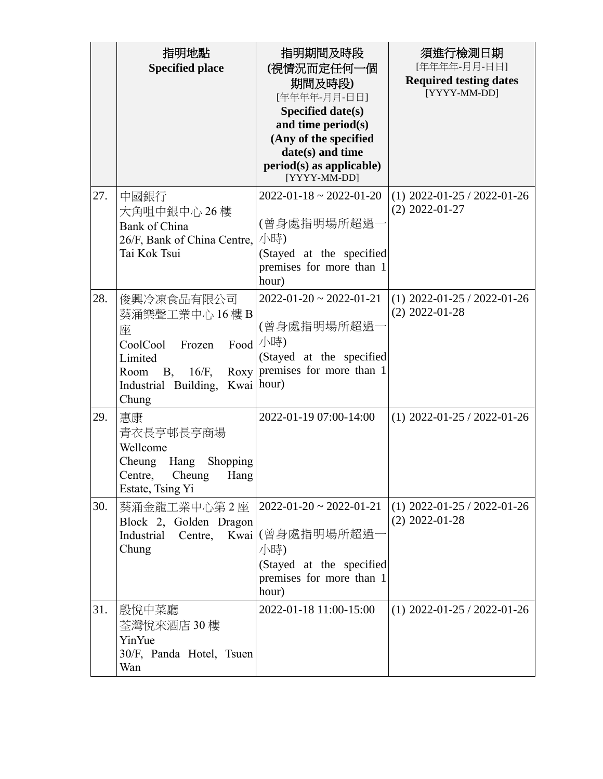|     | 指明地點<br><b>Specified place</b>                                                                                           | 指明期間及時段<br>(視情況而定任何一個<br>期間及時段)<br>[年年年年-月月-日日]<br>Specified date(s)<br>and time period(s)<br>(Any of the specified<br>date(s) and time<br>period(s) as applicable)<br>[YYYY-MM-DD] | 須進行檢測日期<br>[年年年年-月月-日日]<br><b>Required testing dates</b><br>[YYYY-MM-DD] |
|-----|--------------------------------------------------------------------------------------------------------------------------|-------------------------------------------------------------------------------------------------------------------------------------------------------------------------------------|--------------------------------------------------------------------------|
| 27. | 中國銀行<br>大角咀中銀中心 26 樓<br>Bank of China<br>26/F, Bank of China Centre,<br>Tai Kok Tsui                                     | $2022 - 01 - 18 \approx 2022 - 01 - 20$<br>(曾身處指明場所超過<br>小時)<br>(Stayed at the specified<br>premises for more than 1<br>hour)                                                       | $(1)$ 2022-01-25 / 2022-01-26<br>$(2)$ 2022-01-27                        |
| 28. | 俊興冷凍食品有限公司<br>葵涌樂聲工業中心 16 樓 B<br>座<br>CoolCool<br>Frozen<br>Limited<br>B, 16/F,<br>Room<br>Industrial Building,<br>Chung | $2022 - 01 - 20 \approx 2022 - 01 - 21$<br>(曾身處指明場所超過<br>Food  小時)<br>(Stayed at the specified<br>Roxy premises for more than 1<br>Kwai hour)                                       | $(1)$ 2022-01-25 / 2022-01-26<br>$(2)$ 2022-01-28                        |
| 29. | 惠康<br>青衣長亨邨長亨商場<br>Wellcome<br>Cheung<br>Hang<br>Shopping<br>Cheung<br>Centre,<br>Hang<br>Estate, Tsing Yi               | 2022-01-19 07:00-14:00                                                                                                                                                              | $(1)$ 2022-01-25 / 2022-01-26                                            |
| 30. | 葵涌金龍工業中心第2座<br>Block 2, Golden Dragon<br>Industrial<br>Centre,<br>Chung                                                  | $ 2022-01-20 \sim 2022-01-21$<br>Kwai (曾身處指明場所超過<br>小時)<br>(Stayed at the specified<br>premises for more than 1<br>hour)                                                            | $(1)$ 2022-01-25 / 2022-01-26<br>$(2)$ 2022-01-28                        |
| 31. | 殷悅中菜廳<br>荃灣悅來酒店 30 樓<br>YinYue<br>30/F, Panda Hotel, Tsuen<br>Wan                                                        | 2022-01-18 11:00-15:00                                                                                                                                                              | $(1)$ 2022-01-25 / 2022-01-26                                            |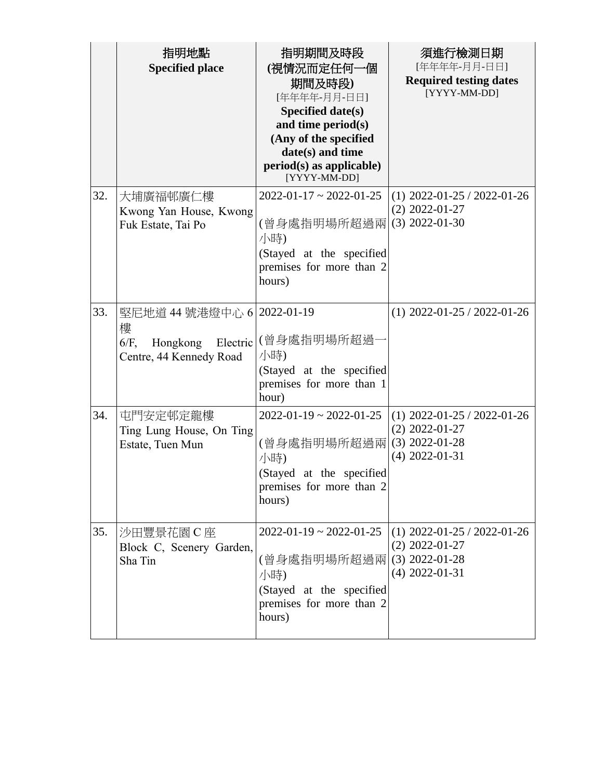|     | 指明地點<br><b>Specified place</b>                                         | 指明期間及時段<br>(視情況而定任何一個<br>期間及時段)<br>[年年年年-月月-日日]<br>Specified date(s)<br>and time period(s)<br>(Any of the specified<br>date(s) and time<br>$period(s)$ as applicable)<br>[YYYY-MM-DD] | 須進行檢測日期<br>[年年年年-月月-日日]<br><b>Required testing dates</b><br>[YYYY-MM-DD]                  |
|-----|------------------------------------------------------------------------|---------------------------------------------------------------------------------------------------------------------------------------------------------------------------------------|-------------------------------------------------------------------------------------------|
| 32. | 大埔廣福邨廣仁樓<br>Kwong Yan House, Kwong<br>Fuk Estate, Tai Po               | $2022 - 01 - 17 \approx 2022 - 01 - 25$<br>(曾身處指明場所超過兩)<br>小時)<br>(Stayed at the specified<br>premises for more than 2<br>hours)                                                      | $(1)$ 2022-01-25 / 2022-01-26<br>$(2)$ 2022-01-27<br>$(3)$ 2022-01-30                     |
| 33. | 堅尼地道 44號港燈中心 6   2022-01-19<br>樓<br>$6/F$ ,<br>Centre, 44 Kennedy Road | Hongkong Electric (曾身處指明場所超過-<br>小時)<br>(Stayed at the specified<br>premises for more than 1<br>hour)                                                                                 | $(1)$ 2022-01-25 / 2022-01-26                                                             |
| 34. | 屯門安定邨定龍樓<br>Ting Lung House, On Ting<br>Estate, Tuen Mun               | $2022 - 01 - 19 \approx 2022 - 01 - 25$<br>(曾身處指明場所超過兩<br>小時)<br>(Stayed at the specified<br>premises for more than 2<br>hours)                                                       | $(1)$ 2022-01-25 / 2022-01-26<br>$(2)$ 2022-01-27<br>$(3)$ 2022-01-28<br>$(4)$ 2022-01-31 |
| 35. | 沙田豐景花園C座<br>Block C, Scenery Garden,<br>Sha Tin                        | $2022 - 01 - 19 \approx 2022 - 01 - 25$<br>(曾身處指明場所超過兩 <br>小時)<br>(Stayed at the specified<br>premises for more than 2<br>hours)                                                      | $(1)$ 2022-01-25 / 2022-01-26<br>$(2)$ 2022-01-27<br>$(3)$ 2022-01-28<br>$(4)$ 2022-01-31 |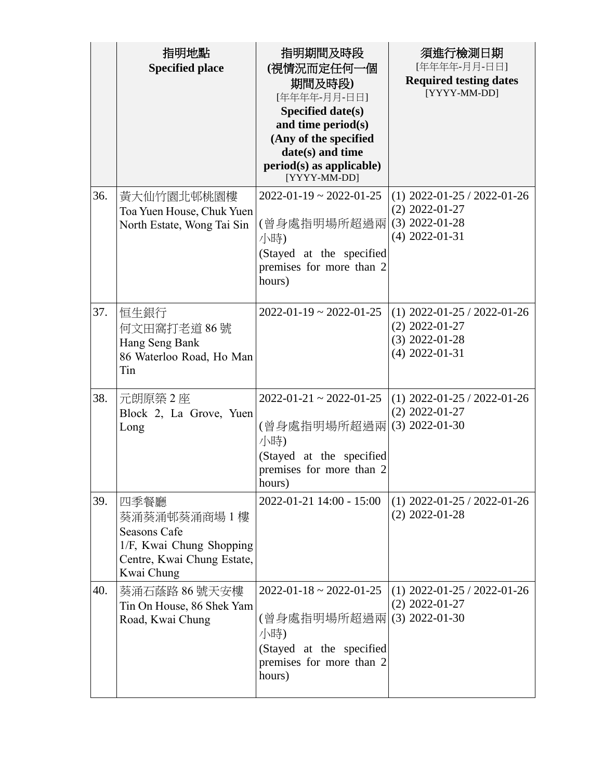|     | 指明地點<br><b>Specified place</b>                                                                                | 指明期間及時段<br>(視情況而定任何一個<br>期間及時段)<br>[年年年年-月月-日日]<br>Specified date(s)<br>and time period(s)<br>(Any of the specified<br>date(s) and time<br>period(s) as applicable)<br>[YYYY-MM-DD] | 須進行檢測日期<br>[年年年年-月月-日日]<br><b>Required testing dates</b><br>[YYYY-MM-DD]                  |
|-----|---------------------------------------------------------------------------------------------------------------|-------------------------------------------------------------------------------------------------------------------------------------------------------------------------------------|-------------------------------------------------------------------------------------------|
| 36. | 黃大仙竹園北邨桃園樓<br>Toa Yuen House, Chuk Yuen<br>North Estate, Wong Tai Sin                                         | $2022 - 01 - 19 \approx 2022 - 01 - 25$<br>(曾身處指明場所超過兩 <br>小時)<br>(Stayed at the specified<br>premises for more than 2<br>hours)                                                    | $(1)$ 2022-01-25 / 2022-01-26<br>$(2)$ 2022-01-27<br>$(3)$ 2022-01-28<br>$(4)$ 2022-01-31 |
| 37. | 恒生銀行<br>何文田窩打老道 86號<br>Hang Seng Bank<br>86 Waterloo Road, Ho Man<br>Tin                                      | $2022 - 01 - 19 \approx 2022 - 01 - 25$                                                                                                                                             | $(1)$ 2022-01-25 / 2022-01-26<br>$(2)$ 2022-01-27<br>$(3)$ 2022-01-28<br>$(4)$ 2022-01-31 |
| 38. | 元朗原築 2座<br>Block 2, La Grove, Yuen<br>Long                                                                    | $2022 - 01 - 21 \approx 2022 - 01 - 25$<br>(曾身處指明場所超過兩 <br>小時)<br>(Stayed at the specified<br>premises for more than 2<br>hours)                                                    | $(1)$ 2022-01-25 / 2022-01-26<br>$(2)$ 2022-01-27<br>$(3)$ 2022-01-30                     |
| 39. | 四季餐廳<br>葵涌葵涌邨葵涌商場 1 樓<br>Seasons Cafe<br>1/F, Kwai Chung Shopping<br>Centre, Kwai Chung Estate,<br>Kwai Chung | 2022-01-21 14:00 - 15:00                                                                                                                                                            | $(1)$ 2022-01-25 / 2022-01-26<br>$(2)$ 2022-01-28                                         |
| 40. | 葵涌石蔭路 86 號天安樓<br>Tin On House, 86 Shek Yam<br>Road, Kwai Chung                                                | $2022 - 01 - 18 \approx 2022 - 01 - 25$<br>(曾身處指明場所超過兩 (3) 2022-01-30<br>小時)<br>(Stayed at the specified<br>premises for more than 2<br>hours)                                      | $(1)$ 2022-01-25 / 2022-01-26<br>$(2)$ 2022-01-27                                         |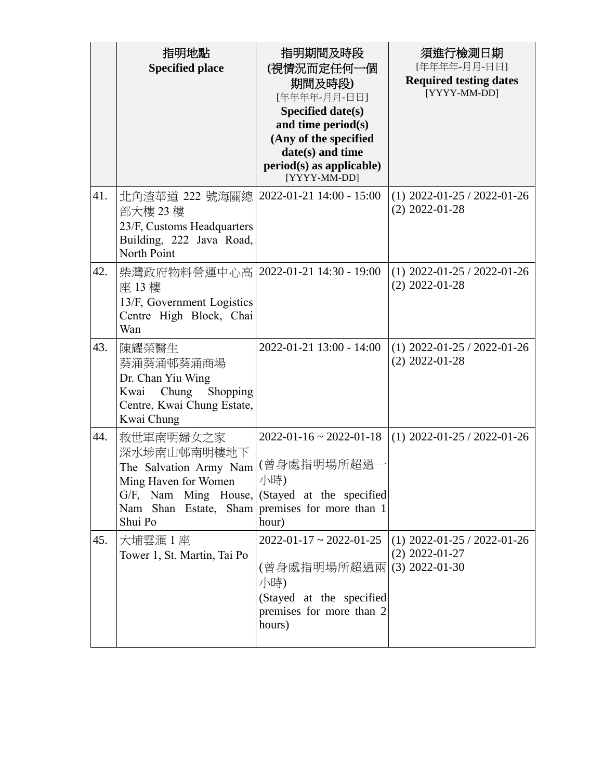|     | 指明地點<br><b>Specified place</b>                                                                                                                                                           | 指明期間及時段<br>(視情況而定任何一個<br>期間及時段)<br>[年年年年-月月-日日]<br>Specified date(s)<br>and time period(s)<br>(Any of the specified<br>date(s) and time<br>period(s) as applicable)<br>[YYYY-MM-DD] | 須進行檢測日期<br>[年年年年-月月-日日]<br><b>Required testing dates</b><br>[YYYY-MM-DD] |
|-----|------------------------------------------------------------------------------------------------------------------------------------------------------------------------------------------|-------------------------------------------------------------------------------------------------------------------------------------------------------------------------------------|--------------------------------------------------------------------------|
| 41. | 北角渣華道 222 號海關總 <br>部大樓 23樓<br>23/F, Customs Headquarters<br>Building, 222 Java Road,<br>North Point                                                                                      | 2022-01-21 14:00 - 15:00                                                                                                                                                            | $(1)$ 2022-01-25 / 2022-01-26<br>$(2)$ 2022-01-28                        |
| 42. | 柴灣政府物料營運中心高   2022-01-21 14:30 - 19:00<br>座 13樓<br>13/F, Government Logistics<br>Centre High Block, Chai<br>Wan                                                                          |                                                                                                                                                                                     | $(1)$ 2022-01-25 / 2022-01-26<br>$(2)$ 2022-01-28                        |
| 43. | 陳耀榮醫生<br>葵涌葵涌邨葵涌商場<br>Dr. Chan Yiu Wing<br>Kwai<br>Chung<br>Shopping<br>Centre, Kwai Chung Estate,<br>Kwai Chung                                                                         | 2022-01-21 13:00 - 14:00                                                                                                                                                            | $(1)$ 2022-01-25 / 2022-01-26<br>$(2)$ 2022-01-28                        |
| 44. | 救世軍南明婦女之家<br>深水埗南山邨南明樓地下<br>The Salvation Army Nam<br>Ming Haven for Women<br>G/F, Nam Ming House, (Stayed at the specified<br>Nam Shan Estate, Sham premises for more than 1<br>Shui Po | $2022 - 01 - 16 \approx 2022 - 01 - 18$<br>(曾身處指明場所超過<br>小時)<br>hour)                                                                                                               | $(1)$ 2022-01-25 / 2022-01-26                                            |
| 45. | 大埔雲滙1座<br>Tower 1, St. Martin, Tai Po                                                                                                                                                    | $2022 - 01 - 17 \approx 2022 - 01 - 25$<br>(曾身處指明場所超過兩<br>小時)<br>(Stayed at the specified<br>premises for more than 2<br>hours)                                                     | $(1)$ 2022-01-25 / 2022-01-26<br>$(2)$ 2022-01-27<br>$(3)$ 2022-01-30    |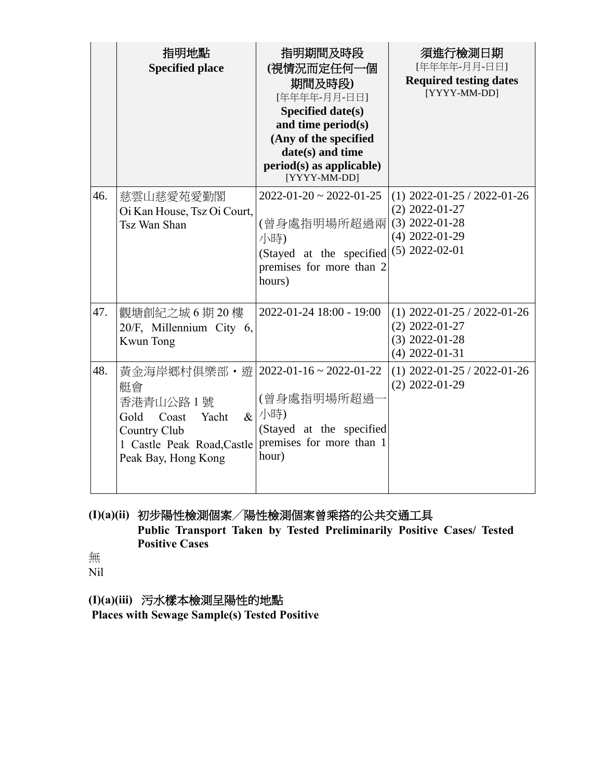|     | 指明地點<br><b>Specified place</b>                                                                                                                                                | 指明期間及時段<br>(視情況而定任何一個<br>期間及時段)<br>[年年年年-月月-日日]<br>Specified date(s)<br>and time period(s)<br>(Any of the specified<br>date(s) and time<br>$period(s)$ as applicable)<br>[YYYY-MM-DD] | 須進行檢測日期<br>[年年年年-月月-日日]<br><b>Required testing dates</b><br>[YYYY-MM-DD]                                      |
|-----|-------------------------------------------------------------------------------------------------------------------------------------------------------------------------------|---------------------------------------------------------------------------------------------------------------------------------------------------------------------------------------|---------------------------------------------------------------------------------------------------------------|
| 46. | 慈雲山慈愛苑愛勤閣<br>Oi Kan House, Tsz Oi Court,<br>Tsz Wan Shan                                                                                                                      | $2022 - 01 - 20 \approx 2022 - 01 - 25$<br>(曾身處指明場所超過兩<br>小時)<br>(Stayed at the specified<br>premises for more than 2<br>hours)                                                       | $(1)$ 2022-01-25 / 2022-01-26<br>$(2)$ 2022-01-27<br>$(3)$ 2022-01-28<br>$(4)$ 2022-01-29<br>$(5)$ 2022-02-01 |
| 47. | 觀塘創紀之城6期20樓<br>20/F, Millennium City 6,<br><b>Kwun Tong</b>                                                                                                                   | 2022-01-24 18:00 - 19:00                                                                                                                                                              | $(1)$ 2022-01-25 / 2022-01-26<br>$(2)$ 2022-01-27<br>$(3)$ 2022-01-28<br>$(4)$ 2022-01-31                     |
| 48. | 黃金海岸鄉村俱樂部・遊 2022-01-16~2022-01-22<br>艇會<br>香港青山公路1號<br>Gold<br>Yacht<br>Coast<br>Country Club<br>1 Castle Peak Road, Castle   premises for more than 1<br>Peak Bay, Hong Kong | (曾身處指明場所超過<br>$\alpha$ /小時)<br>(Stayed at the specified<br>hour)                                                                                                                      | $(1)$ 2022-01-25 / 2022-01-26<br>$(2)$ 2022-01-29                                                             |

# **(I)(a)(ii)** 初步陽性檢測個案╱陽性檢測個案曾乘搭的公共交通工具 **Public Transport Taken by Tested Preliminarily Positive Cases/ Tested Positive Cases**

無 Nil

**(I)(a)(iii)** 污水樣本檢測呈陽性的地點

**Places with Sewage Sample(s) Tested Positive**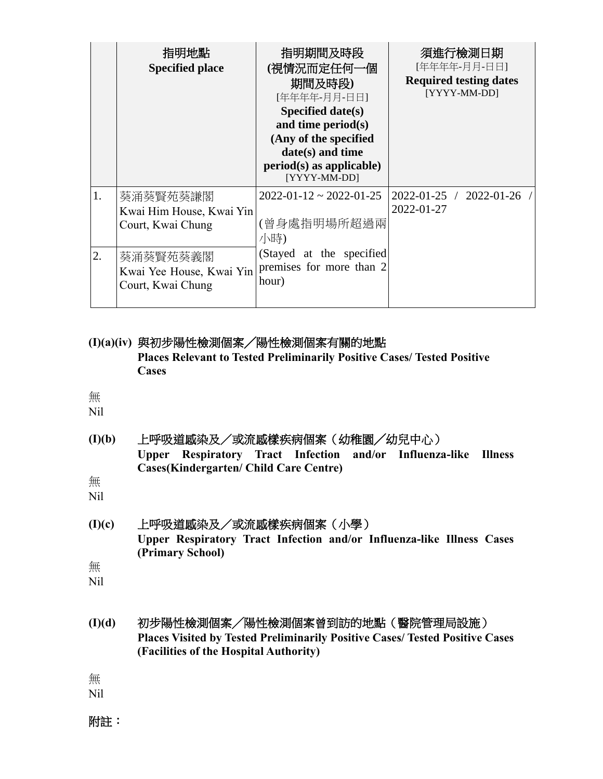|    | 指明地點<br><b>Specified place</b>                            | 指明期間及時段<br>(視情況而定任何一個<br>期間及時段)<br>[年年年年-月月-日日]<br>Specified date( $s$ )<br>and time period(s)<br>(Any of the specified<br>$date(s)$ and time<br>$period(s)$ as applicable)<br>[YYYY-MM-DD] | 須進行檢測日期<br>[年年年年-月月-日日]<br><b>Required testing dates</b><br>[YYYY-MM-DD] |
|----|-----------------------------------------------------------|---------------------------------------------------------------------------------------------------------------------------------------------------------------------------------------------|--------------------------------------------------------------------------|
|    | 葵涌葵賢苑葵謙閣<br>Kwai Him House, Kwai Yin<br>Court, Kwai Chung | $2022 - 01 - 12 \approx 2022 - 01 - 25$<br>(曾身處指明場所超過兩<br>小時)                                                                                                                               | 2022-01-25 / 2022-01-26 /<br>2022-01-27                                  |
| 2. | 葵涌葵賢苑葵義閣<br>Kwai Yee House, Kwai Yin<br>Court, Kwai Chung | (Stayed at the specified<br>premises for more than 2<br>hour)                                                                                                                               |                                                                          |

**(I)(a)(iv)** 與初步陽性檢測個案╱陽性檢測個案有關的地點 **Places Relevant to Tested Preliminarily Positive Cases/ Tested Positive Cases** 

## 無

Nil

**(I)(b)** 上呼吸道感染及/或流感樣疾病個案(幼稚園╱幼兒中心) **Upper Respiratory Tract Infection and/or Influenza-like Illness Cases(Kindergarten/ Child Care Centre)**

無

Nil

- **(I)(c)** 上呼吸道感染及/或流感樣疾病個案(小學) **Upper Respiratory Tract Infection and/or Influenza-like Illness Cases (Primary School)**
- 無

Nil

**(I)(d)** 初步陽性檢測個案╱陽性檢測個案曾到訪的地點(醫院管理局設施) **Places Visited by Tested Preliminarily Positive Cases/ Tested Positive Cases (Facilities of the Hospital Authority)**

無

Nil

附註: